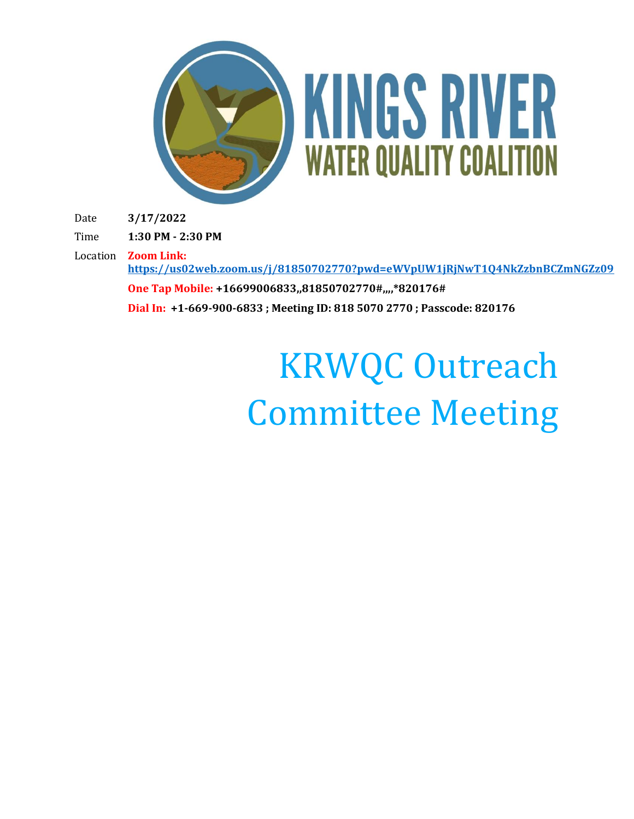

Date **3/17/2022**

Time **1:30 PM - 2:30 PM**

Location **Zoom Link: <https://us02web.zoom.us/j/81850702770?pwd=eWVpUW1jRjNwT1Q4NkZzbnBCZmNGZz09>**

**One Tap Mobile: +16699006833,,81850702770#,,,,\*820176# Dial In: +1-669-900-6833 ; Meeting ID: 818 5070 2770 ; Passcode: 820176**

## KRWQC Outreach Committee Meeting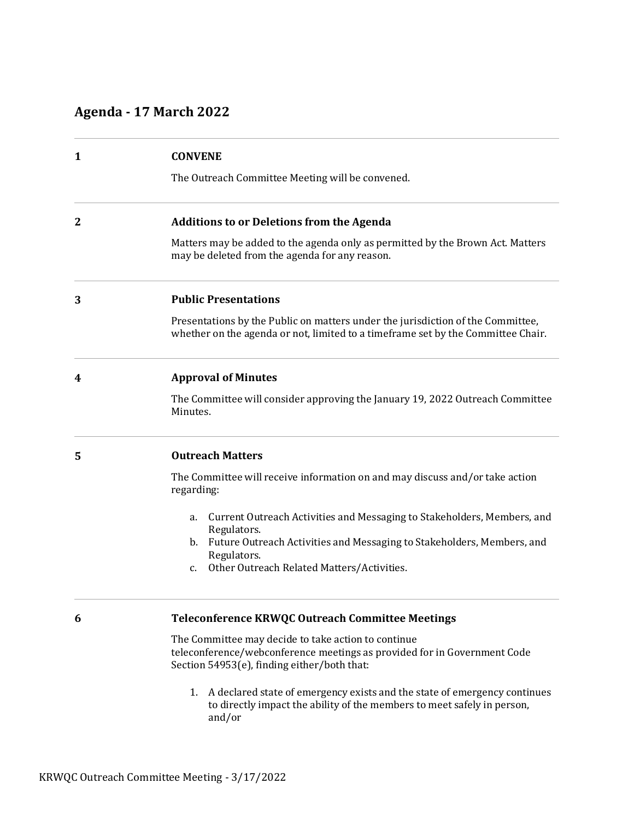## **Agenda - 17 March 2022**

| $\mathbf{1}$ | <b>CONVENE</b>                                                                                                                                                      |
|--------------|---------------------------------------------------------------------------------------------------------------------------------------------------------------------|
|              | The Outreach Committee Meeting will be convened.                                                                                                                    |
| $\mathbf{2}$ | <b>Additions to or Deletions from the Agenda</b>                                                                                                                    |
|              | Matters may be added to the agenda only as permitted by the Brown Act. Matters<br>may be deleted from the agenda for any reason.                                    |
| 3            | <b>Public Presentations</b>                                                                                                                                         |
|              | Presentations by the Public on matters under the jurisdiction of the Committee,<br>whether on the agenda or not, limited to a timeframe set by the Committee Chair. |
| 4            | <b>Approval of Minutes</b>                                                                                                                                          |
|              | The Committee will consider approving the January 19, 2022 Outreach Committee<br>Minutes.                                                                           |
| 5            | <b>Outreach Matters</b>                                                                                                                                             |
|              | The Committee will receive information on and may discuss and/or take action<br>regarding:                                                                          |
|              | Current Outreach Activities and Messaging to Stakeholders, Members, and<br>a.<br>Regulators.                                                                        |
|              | b. Future Outreach Activities and Messaging to Stakeholders, Members, and                                                                                           |
|              | Regulators.<br>Other Outreach Related Matters/Activities.<br>$C_{\bullet}$                                                                                          |
| 6            | Teleconference KRWQC Outreach Committee Meetings                                                                                                                    |
|              | The Committee may decide to take action to continue                                                                                                                 |

The Committee may decide to take action to continue teleconference/webconference meetings as provided for in Government Code Section 54953(e), finding either/both that:

1. A declared state of emergency exists and the state of emergency continues to directly impact the ability of the members to meet safely in person, and/or